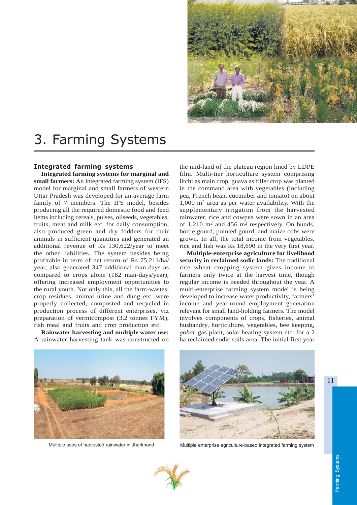

## 3. Farming Systems

## Integrated farming systems

**Integrated farming systems for marginal and small farmers:** An integrated farming system (IFS) model for marginal and small farmers of western Uttar Pradesh was developed for an average farm family of 7 members. The IFS model, besides producing all the required domestic food and feed items including cereals, pulses, oilseeds, vegetables, fruits, meat and milk etc. for daily consumption, also produced green and dry fodders for their animals in sufficient quantities and generated an additional revenue of Rs 130,622/year to meet the other liabilities. The system besides being profitable in term of net return of Rs 75,211/ha/ year, also generated 347 additional man-days as compared to crops alone (182 man-days/year), offering increased employment opportunities to the rural youth. Not only this, all the farm-wastes, crop residues, animal urine and dung etc. were properly collected, composted and recycled in production process of different enterprises, viz preparation of vermicompost (3.2 tonnes FYM), fish meal and fruits and crop production etc.

**Rainwater harvesting and multiple water use:** A rainwater harvesting tank was constructed on the mid-land of the plateau region lined by LDPE film. Multi-tier horticulture system comprising litchi as main crop, guava as filler crop was planted in the command area with vegetables (including pea, French bean, cucumber and tomato) on about  $1,000$  m<sup>2</sup> area as per water availability. With the supplementary irrigation from the harvested rainwater, rice and cowpea were sown in an area of  $1,210 \text{ m}^2$  and  $456 \text{ m}^2$  respectively. On bunds, bottle gourd, pointed gourd, and maize cobs were grown. In all, the total income from vegetables, rice and fish was Rs 18,690 in the very first year.

**Multiple-enterprise agriculture for livelihood security in reclaimed sodic lands:** The traditional rice–wheat cropping system gives income to farmers only twice at the harvest time, though regular income is needed throughout the year. A multi-enterprise farming system model is being developed to increase water productivity, farmers' income and year-round employment generation relevant for small land-holding farmers. The model involves components of crops, fisheries, animal husbandry, horticulture, vegetables, bee keeping, *gobar* gas plant, solar heating system etc. for a 2 ha reclaimed sodic soils area. The initial first year





Multiple uses of harvested rainwater in Jharkhand Multiple enterprise agriculture-based integrated farming system



11